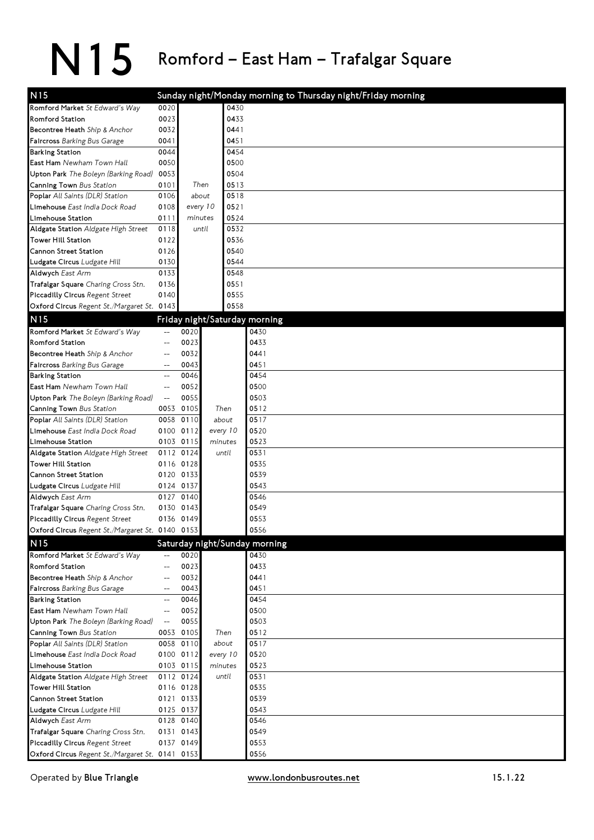| N <sub>15</sub>                                           |                          |                        |          |      | Sunday night/Monday morning to Thursday night/Friday morning |
|-----------------------------------------------------------|--------------------------|------------------------|----------|------|--------------------------------------------------------------|
| Romford Market St Edward's Way                            | 0020                     |                        |          | 0430 |                                                              |
| <b>Romford Station</b>                                    | 0023                     |                        |          | 0433 |                                                              |
| Becontree Heath Ship & Anchor                             | 0032                     |                        |          | 0441 |                                                              |
| Faircross Barking Bus Garage                              | 0041                     |                        |          | 0451 |                                                              |
| <b>Barking Station</b>                                    | 0044                     |                        |          | 0454 |                                                              |
| East Ham Newham Town Hall                                 | 0050                     |                        |          | 0500 |                                                              |
| Upton Park The Boleyn (Barking Road)                      | 0053                     |                        |          | 0504 |                                                              |
| Canning Town Bus Station                                  | 0101                     | Then                   |          | 0513 |                                                              |
| Poplar All Saints (DLR) Station                           | 0106                     | about                  |          | 0518 |                                                              |
| Limehouse East India Dock Road                            | 0108                     | every 10               |          | 0521 |                                                              |
| Limehouse Station                                         | 0111                     | minutes                |          | 0524 |                                                              |
| Aldgate Station Aldgate High Street                       | 0118                     | until                  |          | 0532 |                                                              |
| <b>Tower Hill Station</b>                                 | 0122                     |                        |          | 0536 |                                                              |
| Cannon Street Station                                     | 0126                     |                        |          | 0540 |                                                              |
| Ludgate Circus Ludgate Hill                               | 0130                     |                        |          | 0544 |                                                              |
| Aldwych East Arm                                          | 0133                     |                        |          | 0548 |                                                              |
| Trafalgar Square Charing Cross Stn.                       | 0136                     |                        |          | 0551 |                                                              |
| Piccadilly Circus Regent Street                           | 0140                     |                        |          | 0555 |                                                              |
| Oxford Circus Regent St./Margaret St. 0143                |                          |                        |          | 0558 |                                                              |
| N <sub>15</sub>                                           |                          |                        |          |      | Friday night/Saturday morning                                |
| Romford Market St Edward's Way                            | $\qquad \qquad -$        | 0020                   |          |      | 0430                                                         |
| Romford Station                                           | $\overline{a}$           | 0023                   |          |      | 0433                                                         |
| Becontree Heath Ship & Anchor                             | $-$                      | 0032                   |          |      | 0441                                                         |
| Faircross Barking Bus Garage                              | $-$                      | 0043                   |          |      | 0451                                                         |
| <b>Barking Station</b>                                    | $\qquad \qquad -$        | 0046                   |          |      | 0454                                                         |
| East Ham Newham Town Hall                                 | $\qquad \qquad -$        | 0052                   |          |      | 0500                                                         |
| Upton Park The Boleyn (Barking Road)                      | $\overline{a}$           | 0055                   |          |      | 0503                                                         |
| Canning Town Bus Station                                  |                          | 0053 0105              | Then     |      | 0512                                                         |
| Poplar All Saints (DLR) Station                           |                          | 0058 0110              | about    |      | 0517                                                         |
| Limehouse East India Dock Road                            |                          | 0100 0112              | every 10 |      | 0520                                                         |
| Limehouse Station                                         |                          | 0103 0115              | minutes  |      | 0523                                                         |
| Aldgate Station Aldgate High Street                       |                          | 0112 0124              | until    |      | 0531                                                         |
| <b>Tower Hill Station</b>                                 |                          | 0116 0128              |          |      | 0535                                                         |
| Cannon Street Station                                     |                          | 0120 0133              |          |      | 0539                                                         |
| Ludgate Circus Ludgate Hill                               |                          | 0124 0137              |          |      | 0543                                                         |
| Aldwych East Arm                                          |                          | 0127 0140              |          |      | 0546                                                         |
| Trafalgar Square Charing Cross Stn.                       | 0130                     | 0143                   |          |      | 0549                                                         |
| Piccadilly Circus Regent Street                           |                          | 0136 0149              |          |      | 0553                                                         |
| Oxford Circus Regent St./Margaret St. 0140 0153           |                          |                        |          |      | 0556                                                         |
| N <sub>15</sub>                                           |                          |                        |          |      | Saturday night/Sunday morning                                |
| Romford Market St Edward's Way                            | $-$                      | 0020                   |          |      | 0430                                                         |
| Romford Station                                           | $\overline{\phantom{a}}$ | 0023                   |          |      | 0433                                                         |
| Becontree Heath Ship & Anchor                             | $\overline{\phantom{a}}$ | 0032                   |          |      | 0441                                                         |
| Faircross Barking Bus Garage                              | $\qquad \qquad -$        | 0043                   |          |      | 0451                                                         |
| <b>Barking Station</b>                                    | $\overline{a}$           | 0046                   |          |      | 0454                                                         |
| East Ham Newham Town Hall                                 | $\overline{\phantom{m}}$ | 0052                   |          |      | 0500                                                         |
| Upton Park The Boleyn (Barking Road)                      | $\overline{a}$           | 0055                   |          |      | 0503                                                         |
| Canning Town Bus Station                                  |                          | 0053 0105              | Then     |      | 0512                                                         |
| Poplar All Saints (DLR) Station                           |                          | 0058 0110              | about    |      | 0517                                                         |
| Limehouse East India Dock Road                            |                          | 0100 0112              | every 10 |      | 0520                                                         |
| Limehouse Station                                         |                          | 0103 0115              | minutes  |      | 0523                                                         |
| Aldgate Station Aldgate High Street<br>Tower Hill Station |                          | 0112 0124<br>0116 0128 | until    |      | 0531<br>0535                                                 |
| Cannon Street Station                                     |                          | 0121 0133              |          |      | 0539                                                         |
| Ludgate Circus Ludgate Hill                               |                          | 0125 0137              |          |      | 0543                                                         |
| Aldwych East Arm                                          |                          | 0128 0140              |          |      | 0546                                                         |
| Trafalgar Square Charing Cross Stn.                       |                          | 0131 0143              |          |      | 0549                                                         |
| Piccadilly Circus Regent Street                           |                          | 0137 0149              |          |      | 0553                                                         |
| Oxford Circus Regent St./Margaret St. 0141 0153           |                          |                        |          |      | 0556                                                         |
|                                                           |                          |                        |          |      |                                                              |